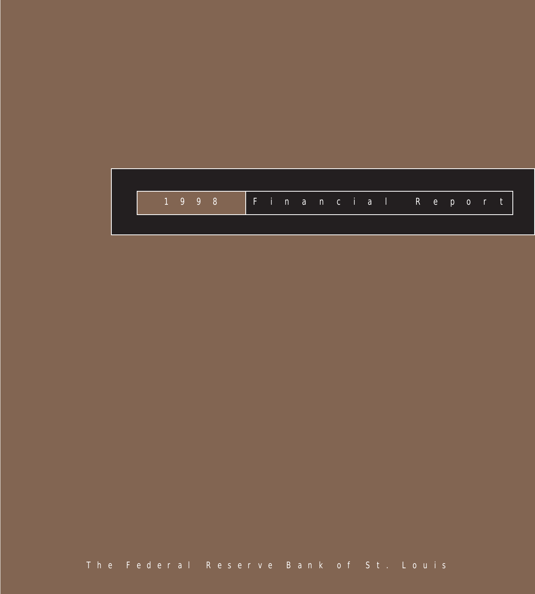

The Federal Reserve Bank of St. Louis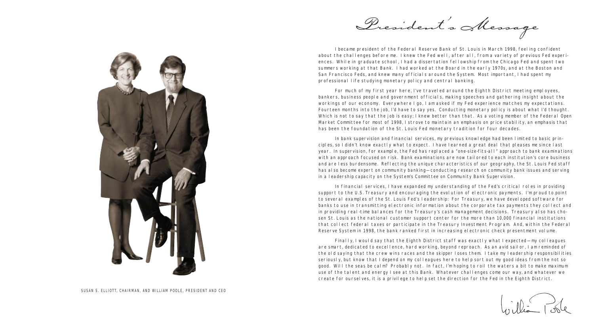

I became president of the Federal Reserve Bank of St. Louis in March 1998, feeling confident about the challenges before me. I knew the Fed well, after all, from a variety of previous Fed experiences. While in graduate school, I had a dissertation fellowship from the Chicago Fed and spent two summers working at that Bank. I had worked at the Board in the early 1970s, and at the Boston and San Francisco Feds, and knew many officials around the System. Most important, I had spent my professional life studying monetary policy and central banking.

For much of my first year here, I've traveled around the Eighth District meeting employees, bankers, business people and government officials, making speeches and gathering insight about the workings of our economy. Everywhere I go, I am asked if my Fed experience matches my expectations. Fourteen months into the job, I'd have to say yes. Conducting monetary policy is about what I'd thought. Which is not to say that the job is easy; I knew better than that. As a voting member of the Federal Open Market Committee for most of 1998, I strove to maintain an emphasis on price stability, an emphasis that has been the foundation of the St. Louis Fed monetary tradition for four decades.

In bank supervision and financial services, my previous knowledge had been limited to basic principles, so I didn't know exactly what to expect. I have learned a great deal that pleases me since last year. In supervision, for example, the Fed has replaced a "one-size-fits-all" approach to bank examinations with an approach focused on risk. Bank examinations are now tailored to each institution's core business and are less burdensome. Reflecting the unique characteristics of our geography, the St. Louis Fed staff has also become expert on community banking—conducting research on community bank issues and serving in a leadership capacity on the System's Committee on Community Bank Supervision.

In financial services, I have expanded my understanding of the Fed's critical roles in providing support to the U.S. Treasury and encouraging the evolution of electronic payments. I'm proud to point to several examples of the St. Louis Fed's leadership: For Treasury, we have developed software for banks to use in transmitting electronic information about the corporate tax payments they collect and in providing real-time balances for the Treasury's cash management decisions. Treasury also has chosen St. Louis as the national customer support center for the more than 10,000 financial institutions that collect federal taxes or participate in the Treasury Investment Program. And, within the Federal Reserve System in 1998, the bank ranked first in increasing electronic check presentment volume.

Finally, I would say that the Eighth District staff was exactly what I expected—my colleagues are smart, dedicated to excellence, hard working, beyond reproach. As an avid sailor, I am reminded of the old saying that the crew wins races and the skipper loses them. I take my leadership responsibilities seriously, but know that I depend on my colleagues here to help sort out my good ideas from the not so good. Will the seas be calm? Probably not. In fact, I'm hoping to roil the waters a bit to make maximum use of the talent and energy I see at this Bank. Whatever challenges come our way, and whatever we create for ourselves, it is a privilege to help set the direction for the Fed in the Eighth District.

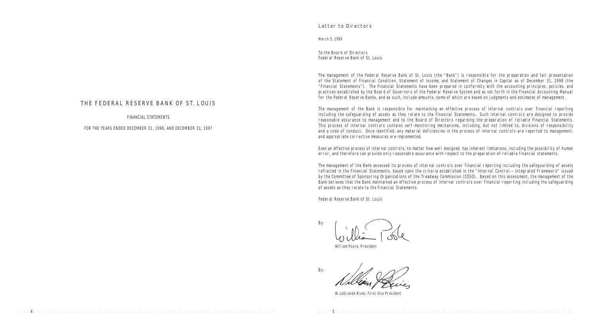## Letter to Directors

March 5, 1999

To the Board of Directors Federal Reserve Bank of St. Louis

The management of the Federal Reserve Bank of St. Louis (the "Bank") is responsible for the preparation and fair presentation of the Statement of Financial Condition, Statement of Income, and Statement of Changes in Capital as of December 31, 1998 (the "Financial Statements"). The Financial Statements have been prepared in conformity with the accounting principles, policies, and practices established by the Board of Governors of the Federal Reserve System and as set forth in the Financial Accounting Manual for the Federal Reserve Banks, and as such, include amounts, some of which are based on judgments and estimates of management.

The management of the Bank is responsible for maintaining an effective process of internal controls over financial reporting including the safeguarding of assets as they relate to the Financial Statements. Such internal controls are designed to provide reasonable assurance to management and to the Board of Directors regarding the preparation of reliable Financial Statements. This process of internal controls contains self-monitoring mechanisms, including, but not limited to, divisions of responsibility and a code of conduct. Once identified, any material deficiencies in the process of internal controls are reported to management. and appropriate corrective measures are implemented.

Even an effective process of internal controls, no matter how well designed, has inherent limitations, including the possibility of human error, and therefore can provide only reasonable assurance with respect to the preparation of reliable financial statements.

The management of the Bank assessed its process of internal controls over financial reporting including the safeguarding of assets reflected in the Financial Statements, based upon the criteria established in the "Internal Control—Integrated Framework" issued by the Committee of Sponsoring Organizations of the Treadway Commission (COSO). Based on this assessment, the management of the Bank believes that the Bank maintained an effective process of internal controls over financial reporting including the safeguarding of assets as they relate to the Financial Statements.

Federal Reserve Bank of St. Louis

By:

W. LeGrande Rives, First Vice President

William Poole, President

By:

# THE FEDERAL RESERVE BANK OF ST. LOUIS

FINANCIAL STATEMENTS

FOR THE YEARS ENDED DECEMBER 31, 1998, AND DECEMBER 31, 1997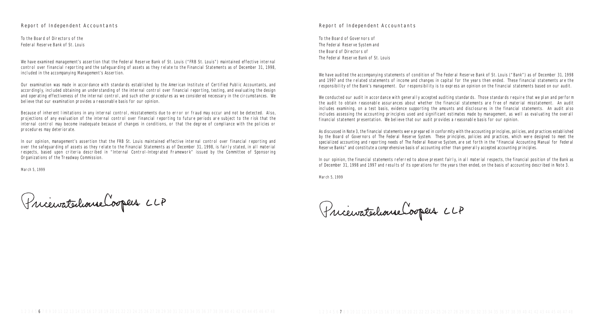## Report of Independent Accountants

To the Board of Governors of The Federal Reserve System and the Board of Directors of The Federal Reserve Bank of St. Louis

We have audited the accompanying statements of condition of The Federal Reserve Bank of St. Louis ("Bank") as of December 31, 1998 and 1997 and the related statements of income and changes in capital for the years then ended. These financial statements are the responsibility of the Bank's management. Our responsibility is to express an opinion on the financial statements based on our audit.

We conducted our audit in accordance with generally accepted auditing standards. Those standards require that we plan and perform the audit to obtain reasonable assurances about whether the financial statements are free of material misstatement. An audit includes examining, on a test basis, evidence supporting the amounts and disclosures in the financial statements. An audit also includes assessing the accounting principles used and significant estimates made by management, as well as evaluating the overall financial statement presentation. We believe that our audit provides a reasonable basis for our opinion.

As discussed in Note 3, the financial statements were prepared in conformity with the accounting principles, policies, and practices established by the Board of Governors of The Federal Reserve System. These principles, policies and practices, which were designed to meet the specialized accounting and reporting needs of The Federal Reserve System, are set forth in the "Financial Accounting Manual for Federal Reserve Banks" and constitute a comprehensive basis of accounting other than generally accepted accounting principles.

In our opinion, the financial statements referred to above present fairly, in all material respects, the financial position of the Bank as of December 31, 1998 and 1997 and results of its operations for the years then ended, on the basis of accounting described in Note 3.

March 5, 1999

Pricewatechonne Cooper LLP

## Report of Independent Accountants

To the Board of Directors of the Federal Reserve Bank of St. Louis

We have examined management's assertion that the Federal Reserve Bank of St. Louis ("FRB St. Louis") maintained effective internal control over financial reporting and the safeguarding of assets as they relate to the Financial Statements as of December 31, 1998, included in the accompanying Management's Assertion.

Our examination was made in accordance with standards established by the American Institute of Certified Public Accountants, and accordingly, included obtaining an understanding of the internal control over financial reporting, testing, and evaluating the design and operating effectiveness of the internal control, and such other procedures as we considered necessary in the circumstances. We believe that our examination provides a reasonable basis for our opinion.

Because of inherent limitations in any internal control, misstatements due to error or fraud may occur and not be detected. Also, projections of any evaluation of the internal control over financial reporting to future periods are subject to the risk that the internal control may become inadequate because of changes in conditions, or that the degree of compliance with the policies or procedures may deteriorate.

In our opinion, management's assertion that the FRB St. Louis maintained effective internal control over financial reporting and over the safeguarding of assets as they relate to the Financial Statements as of December 31, 1998, is fairly stated, in all material respects, based upon criteria described in "Internal Control-Integrated Framework" issued by the Committee of Sponsoring Organizations of the Treadway Commission.

March 5, 1999

Pricevatechome Cooper CLP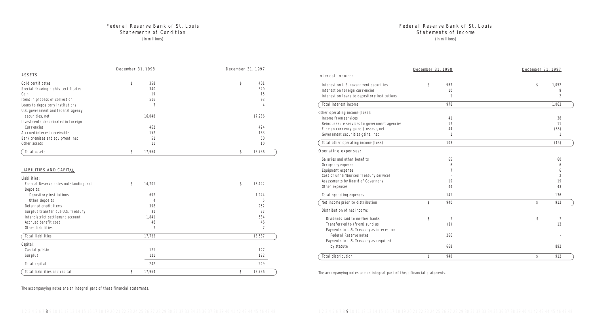## Federal Reserve Bank of St. Louis

### Statements of Income

(in millions)

Interest income:

Interest on U.S. government securities Interest on foreign currencies Interest on loans to depository institutions

Total interest income

Other operating income (loss): Income from services Reimbursable services to government agencies Foreign currency gains (losses), net Government securities gains, net

Total other operating income (loss)

Dividends paid to member banks Transferred to (from) surplus Payments to U.S. Treasury as interest on Federal Reserve notes Payments to U.S. Treasury as required

Total distribution

#### Operating expenses:

Salaries and other benefits Occupancy expense Equipment expense Cost of unreimbursed Treasury services Assessments by Board of Governors Other expenses

Total operating expenses

Net income prior to distribution

|                                          | December 31, 1998 |     |  | December 31, 1997 |  |
|------------------------------------------|-------------------|-----|--|-------------------|--|
| est income:                              |                   |     |  |                   |  |
| est on U.S. government securities        | \$                | 967 |  | \$<br>1,052       |  |
| est on foreign currencies                |                   | 10  |  | 9                 |  |
| est on loans to depository institutions  |                   | 1   |  | 2                 |  |
| interest income                          |                   | 978 |  | 1,063             |  |
| operating income (loss):                 |                   |     |  |                   |  |
| e from services                          |                   | 41  |  | 38                |  |
| oursable services to government agencies |                   | 17  |  | 11                |  |
| gn currency gains (losses), net          |                   | 44  |  | (65)              |  |
| rnment securities gains, net             |                   | 1   |  | $\mathbf{1}$      |  |
| other operating income (loss)            |                   | 103 |  | (15)              |  |
| ting expenses:                           |                   |     |  |                   |  |
| ies and other benefits                   |                   | 65  |  | 60                |  |
| pancy expense                            |                   | 6   |  | 6                 |  |
| ment expense                             |                   | 7   |  | 6                 |  |
| of unreimbursed Treasury services        |                   |     |  | 2                 |  |
| ssments by Board of Governors            |                   | 19  |  | 19                |  |
| expenses                                 |                   | 44  |  | 43                |  |
| operating expenses                       |                   | 141 |  | 136               |  |
| ncome prior to distribution              | \$                | 940 |  | \$<br>912         |  |
| ibution of net income:                   |                   |     |  |                   |  |
| idends paid to member banks              | \$                | 7   |  | \$<br>7           |  |
| ansferred to (from) surplus              |                   | (1) |  | 13                |  |
| yments to U.S. Treasury as interest on   |                   |     |  |                   |  |
| Federal Reserve notes                    |                   | 266 |  |                   |  |
| yments to U.S. Treasury as required      |                   |     |  |                   |  |
| by statute                               |                   | 668 |  | 892               |  |
| distribution                             | \$                | 940 |  | \$<br>912         |  |

Distribution of net income:

The accompanying notes are an integral part of these financial statements.

## Federal Reserve Bank of St. Louis Statements of Condition

(in millions)

|                                     | December 31, 1998 | December 31, 1997 |
|-------------------------------------|-------------------|-------------------|
| <b>ASSETS</b>                       |                   |                   |
| Gold certificates                   | \$<br>358         | \$<br>401         |
| Special drawing rights certificates | 340               | 340               |
| Coin                                | 19                | 15                |
| Items in process of collection      | 516               | 93                |
| Loans to depository institutions    |                   | 4                 |
| U.S. government and federal agency  |                   |                   |
| securities, net                     | 16,048            | 17,286            |
| Investments denominated in foreign  |                   |                   |
| Currencies                          | 462               | 424               |
| Accrued interest receivable         | 152               | 163               |
| Bank premises and equipment, net    | 51                | 50                |
| Other assets                        | 11                | 10                |
| Total assets                        | \$<br>17,964      | \$<br>18,786      |

#### LIABILITIES AND CAPITAL

| Liabilities:                           |                |                |
|----------------------------------------|----------------|----------------|
| Federal Reserve notes outstanding, net | \$<br>14,701   | \$<br>16,422   |
| Deposits:                              |                |                |
| Depository institutions                | 692            | 1,244          |
| Other deposits                         | 4              | 5              |
| Deferred credit items                  | 398            | 252            |
| Surplus transfer due U.S. Treasury     | 31             | 27             |
| Interdistrict settlement account       | 1,841          | 534            |
| Accrued benefit cost                   | 48             | 46             |
| Other liabilities                      | $\overline{7}$ | $\overline{7}$ |
| Total liabilities                      | 17,722         | 18,537         |
| Capital:                               |                |                |
| Capital paid-in                        | 121            | 127            |
| Surplus                                | 121            | 122            |
| Total capital                          | 242            | 249            |
| Total liabilities and capital          | \$<br>17,964   | \$<br>18,786   |

The accompanying notes are an integral part of these financial statements.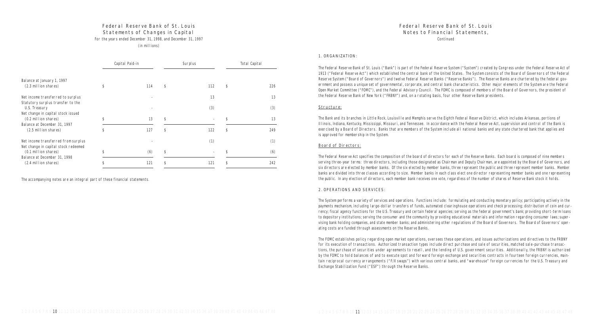Continued

#### 1. ORGANIZATION:

The Federal Reserve Bank of St. Louis ("Bank") is part of the Federal Reserve System ("System") created by Congress under the Federal Reserve Act of 1913 ("Federal Reserve Act") which established the central bank of the United States. The System consists of the Board of Governors of the Federal Reserve System ("Board of Governors") and twelve Federal Reserve Banks ("Reserve Banks"). The Reserve Banks are chartered by the federal government and possess a unique set of governmental, corporate, and central bank characteristics. Other major elements of the System are the Federal Open Market Committee ("FOMC"), and the Federal Advisory Council. The FOMC is composed of members of the Board of Governors, the president of the Federal Reserve Bank of New York ("FRBNY") and, on a rotating basis, four other Reserve Bank presidents.

#### Structure:

The Bank and its branches in Little Rock, Louisville and Memphis serve the Eighth Federal Reserve District, which includes Arkansas, portions of Illinois, Indiana, Kentucky, Mississippi, Missouri, and Tennessee. In accordance with the Federal Reserve Act, supervision and control of the Bank is exercised by a Board of Directors. Banks that are members of the System include all national banks and any state chartered bank that applies and is approved for membership in the System.

#### Board of Directors:

The Federal Reserve Act specifies the composition of the board of directors for each of the Reserve Banks. Each board is composed of nine members serving three-year terms: three directors, including those designated as Chairman and Deputy Chairman, are appointed by the Board of Governors, and six directors are elected by member banks. Of the six elected by member banks, three represent the public and three represent member banks. Member banks are divided into three classes according to size. Member banks in each class elect one director representing member banks and one representing the public. In any election of directors, each member bank receives one vote, regardless of the number of shares of Reserve Bank stock it holds.

#### 2. OPERATIONS AND SERVICES:

The System performs a variety of services and operations. Functions include: formulating and conducting monetary policy; participating actively in the payments mechanism, including large-dollar transfers of funds, automated clearinghouse operations and check processing; distribution of coin and currency; fiscal agency functions for the U.S. Treasury and certain federal agencies; serving as the federal government's bank; providing short-term loans to depository institutions; serving the consumer and the community by providing educational materials and information regarding consumer laws; supervising bank holding companies, and state member banks; and administering other regulations of the Board of Governors. The Board of Governors' operating costs are funded through assessments on the Reserve Banks.

The FOMC establishes policy regarding open market operations, oversees these operations, and issues authorizations and directives to the FRBNY for its execution of transactions. Authorized transaction types include direct purchase and sale of securities, matched sale-purchase transactions, the purchase of securities under agreements to resell, and the lending of U.S. government securities. Additionally, the FRBNY is authorized by the FOMC to hold balances of and to execute spot and forward foreign exchange and securities contracts in fourteen foreign currencies, maintain reciprocal currency arrangements ("F/X swaps") with various central banks, and "warehouse" foreign currencies for the U.S. Treasury and Exchange Stabilization Fund ("ESF") through the Reserve Banks.

## Federal Reserve Bank of St. Louis Statements of Changes in Capital

For the years ended December 31, 1998, and December 31, 1997

(in millions)

|                                                                                          | Capital Paid-in | Surplus   | Total Capital |
|------------------------------------------------------------------------------------------|-----------------|-----------|---------------|
| Balance at January 1, 1997<br>(2.3 million shares)                                       | 114             | \$<br>112 | \$<br>226     |
| Net income transferred to surplus                                                        |                 | 13        | 13            |
| Statutory surplus transfer to the<br>U.S. Treasury<br>Net change in capital stock issued |                 | (3)       | (3)           |
| (0.2 million shares)                                                                     | 13              | \$        | 13            |
| Balance at December 31, 1997<br>(2.5 million shares)                                     | 127             | \$<br>122 | \$<br>249     |
| Net income transferred from surplus<br>Net change in capital stock redeemed              |                 | (1)       | (1)           |
| (0.1 million shares)                                                                     | (6)             | \$        | (6)           |
| Balance at December 31, 1998<br>(2.4 million shares)                                     | 121             | 121       | 242           |

The accompanying notes are an integral part of these financial statements.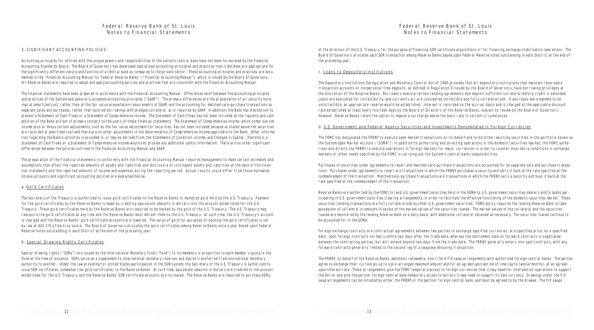at the direction of the U.S. Treasury, for the purpose of financing SDR certificate acquisitions or for financing exchange stabilization operations. The Board of Governors allocates each SDR transaction among Reserve Banks based upon Federal Reserve notes outstanding in each District at the end of the preceding year.

#### c. Loans to Depository Institutions

The Depository Institutions Deregulation and Monetary Control Act of 1980 provides that all depository institutions that maintain reservable transaction accounts or nonpersonal time deposits, as defined in Regulation D issued by the Board of Governors, have borrowing privileges at the discretion of the Reserve Banks. Borrowers execute certain lending agreements and deposit sufficient collateral before credit is extended. Loans are evaluated for collectibility, and currently all are considered collectible and fully collateralized. If any loans were deemed to be uncollectible, an appropriate reserve would be established. Interest is recorded on the accrual basis and is charged at the applicable discount rate established at least every fourteen days by the Board of Directors of the Reserve Banks, subject to review by the Board of Governors. However, Reserve Banks retain the option to impose a surcharge above the basic rate in certain circumstances.

#### d. U.S. Government and Federal Agency Securities and Investments Denominated in Foreign Currencies

The FOMC has designated the FRBNY to execute open market transactions on its behalf and to hold the resulting securities in the portfolio known as the System Open Market Account ("SOMA"). In addition to authorizing and directing operations in the domestic securities market, the FOMC authorizes and directs the FRBNY to execute operations in foreign markets for major currencies in order to counter disorderly conditions in exchange markets or other needs specified by the FOMC in carrying out the System's central bank responsibilities.

Purchases of securities under agreements to resell and matched sale-purchase transactions are accounted for as separate sale and purchase transactions. Purchases under agreements to resell are transactions in which the FRBNY purchases a security and sells it back at the rate specified at the commencement of the transaction. Matched sale-purchase transactions are transactions in which the FRBNY sells a security and buys it back at the rate specified at the commencement of the transaction.

Reserve Banks are authorized by the FOMC to lend U.S. government securities held in the SOMA to U.S. government securities dealers and to banks participating in U.S. government securities clearing arrangements, in order to facilitate the effective functioning of the domestic securities market. These securities-lending transactions are fully collateralized by other U.S. government securities. FOMC policy requires the lending Reserve Bank to take possession of collateral in amounts in excess of the market values of the securities loaned. The market values of the collateral and the securities loaned are monitored by the lending Reserve Bank on a daily basis, with additional collateral obtained as necessary. The securities loaned continue to be accounted for in the SOMA.

Foreign exchange contracts are contractual agreements between two parties to exchange specified currencies, at a specified price, on a specified date. Spot foreign contracts normally settle two days after the trade date, whereas the settlement date on forward contracts is negotiated between the contracting parties, but will extend beyond two days from the trade date. The FRBNY generally enters into spot contracts, with any forward contracts generally limited to the second leg of a swap/warehousing transaction.

The FRBNY, on behalf of the Reserve Banks, maintains renewable, short-term F/X swap arrangements with authorized foreign central banks. The parties agree to exchange their currencies up to a pre-arranged maximum amount and for an agreed upon period of time (up to twelve months), at an agreed upon interest rate. These arrangements give the FOMC temporary access to foreign currencies that it may need for intervention operations to support the dollar and give the partner foreign central bank temporary access to dollars it may need to support its own currency. Drawings under the F/X swap arrangements can be initiated by either the FRBNY or the partner foreign central bank, and must be agreed to by the drawee. The F/X swaps

## Federal Reserve Bank of St. Louis Notes to Financial Statements

#### 3. SIGNIFICANT ACCOUNTING POLICIES:

Accounting principles for entities with the unique powers and responsibilities of the nation's central bank have not been formulated by the Financial Accounting Standards Board. The Board of Governors has developed specialized accounting principles and practices that it believes are appropriate for the significantly different nature and function of a central bank as compared to the private sector. These accounting principles and practices are documented in the "Financial Accounting Manual for Federal Reserve Banks" ("Financial Accounting Manual"), which is issued by the Board of Governors. All Reserve Banks are required to adopt and apply accounting policies and practices that are consistent with the Financial Accounting Manual.

The financial statements have been prepared in accordance with the Financial Accounting Manual. Differences exist between the accounting principles and practices of the System and generally accepted accounting principles ("GAAP"). The primary differences are the presentation of all security holdings at amortized cost, rather than at the fair value presentation requirements of GAAP, and the accounting for matched sale-purchase transactions as separate sales and purchases, rather than secured borrowings with pledged collateral, as is required by GAAP. In addition, the Bank has elected not to present a Statement of Cash Flows or a Statement of Comprehensive Income. The Statement of Cash Flows has not been included as the liquidity and cash position of the Bank are not of primary concern to the users of these financial statements. The Statement of Comprehensive Income, which comprises net income plus or minus certain adjustments, such as the fair value adjustment for securities, has not been included because as stated above the securities are recorded at amortized cost and there are no other adjustments in the determination of Comprehensive Income applicable to the Bank. Other information regarding the Bank's activities is provided in, or may be derived from, the Statements of Condition, Income, and Changes in Capital. Therefore, a Statement of Cash Flows or a Statement of Comprehensive Income would not provide any additional useful information. There are no other significant differences between the policies outlined in the Financial Accounting Manual and GAAP.

The preparation of the financial statements in conformity with the Financial Accounting Manual requires management to make certain estimates and assumptions that affect the reported amounts of assets and liabilities and disclosure of contingent assets and liabilities at the date of the financial statements and the reported amounts of income and expenses during the reporting period. Actual results could differ from those estimates. Unique accounts and significant accounting policies are explained below.

#### a. Gold Certificates

The Secretary of the Treasury is authorized to issue gold certificates to the Reserve Banks to monetize gold held by the U.S. Treasury. Payment for the gold certificates by the Reserve Banks is made by crediting equivalent amounts in dollars into the account established for the U.S. Treasury. These gold certificates held by the Reserve Banks are required to be backed by the gold of the U.S. Treasury. The U.S. Treasury may reacquire the gold certificates at any time and the Reserve Banks must deliver them to the U.S. Treasury. At such time, the U.S. Treasury's account is charged and the Reserve Banks' gold certificate accounts are lowered. The value of gold for purposes of backing the gold certificates is set by law at \$42 2/9 a fine troy ounce. The Board of Governors allocates the gold certificates among Reserve Banks once a year based upon Federal Reserve notes outstanding in each District at the end of the preceding year.

#### b. Special Drawing Rights Certificates

Special drawing rights ("SDRs") are issued by the International Monetary Fund ("Fund") to its members in proportion to each member's quota in the Fund at the time of issuance. SDRs serve as a supplement to international monetary reserves and may be transferred from one national monetary authority to another. Under the law providing for United States participation in the SDR system, the Secretary of the U.S. Treasury is authorized to issue SDR certificates, somewhat like gold certificates, to the Reserve Banks. At such time, equivalent amounts in dollars are credited to the account established for the U.S. Treasury, and the Reserve Banks' SDR certificate accounts are increased. The Reserve Banks are required to purchase SDRs,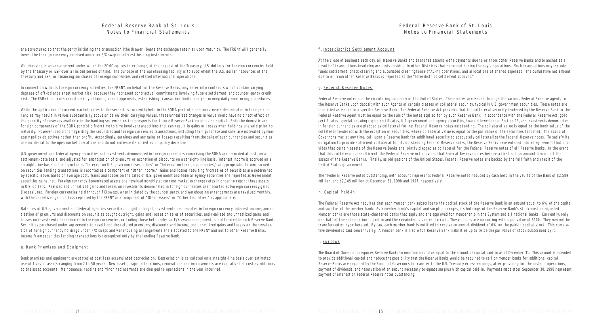At the close of business each day, all Reserve Banks and branches assemble the payments due to or from other Reserve Banks and branches as a result of transactions involving accounts residing in other Districts that occurred during the day's operations. Such transactions may include funds settlement, check clearing and automated clearinghouse ("ACH") operations, and allocations of shared expenses. The cumulative net amount due to or from other Reserve Banks is reported as the "Interdistrict settlement account."

#### f. Interdistrict Settlement Account

#### g. Federal Reserve Notes

Federal Reserve notes are the circulating currency of the United States. These notes are issued through the various Federal Reserve agents to the Reserve Banks upon deposit with such Agents of certain classes of collateral security, typically U.S. government securities. These notes are identified as issued to a specific Reserve Bank. The Federal Reserve Act provides that the collateral security tendered by the Reserve Bank to the Federal Reserve Agent must be equal to the sum of the notes applied for by such Reserve Bank. In accordance with the Federal Reserve Act, gold certificates, special drawing rights certificates, U.S. government and agency securities, loans allowed under Section 13, and investments denominated in foreign currencies are pledged as collateral for net Federal Reserve notes outstanding. The collateral value is equal to the book value of the collateral tendered, with the exception of securities, whose collateral value is equal to the par value of the securities tendered. The Board of Governors may, at any time, call upon a Reserve Bank for additional security to adequately collateralize the Federal Reserve notes. To satisfy its obligation to provide sufficient collateral for its outstanding Federal Reserve notes, the Reserve Banks have entered into an agreement that provides that certain assets of the Reserve Banks are jointly pledged as collateral for the Federal Reserve notes of all Reserve Banks. In the event that this collateral is insufficient, the Federal Reserve Act provides that Federal Reserve notes become a first and paramount lien on all the assets of the Reserve Banks. Finally, as obligations of the United States, Federal Reserve notes are backed by the full faith and credit of the United States government.

The "Federal Reserve notes outstanding, net" account represents Federal Reserve notes reduced by cash held in the vaults of the Bank of \$2,589 million, and \$2,145 million at December 31, 1998 and 1997, respectively.

#### h. Capital Paid-in

The Federal Reserve Act requires that each member bank subscribe to the capital stock of the Reserve Bank in an amount equal to 6% of the capital and surplus of the member bank. As a member bank's capital and surplus changes, its holdings of the Reserve Bank's stock must be adjusted. Member banks are those state-chartered banks that apply and are approved for membership in the System and all national banks. Currently, only one-half of the subscription is paid-in and the remainder is subject to call. These shares are nonvoting with a par value of \$100. They may not be transferred or hypothecated. By law, each member bank is entitled to receive an annual dividend of 6% on the paid-in capital stock. This cumulative dividend is paid semiannually. A member bank is liable for Reserve Bank liabilities up to twice the par value of stock subscribed by it.

While the application of current market prices to the securities currently held in the SOMA portfolio and investments denominated in foreign currencies may result in values substantially above or below their carrying values, these unrealized changes in value would have no direct effect on the quantity of reserves available to the banking system or on the prospects for future Reserve Bank earnings or capital. Both the domestic and foreign components of the SOMA portfolio from time to time involve transactions that can result in gains or losses when holdings are sold prior to maturity. However, decisions regarding the securities and foreign currencies transactions, including their purchase and sale, are motivated by monetary policy objectives rather than profit. Accordingly, earnings and any gains or losses resulting from the sale of such currencies and securities are incidental to the open market operations and do not motivate its activities or policy decisions.

U.S. government and federal agency securities and investments denominated in foreign currencies comprising the SOMA are recorded at cost, on a settlement-date basis, and adjusted for amortization of premiums or accretion of discounts on a straight-line basis. Interest income is accrued on a straight-line basis and is reported as "Interest on U.S. government securities" or "Interest on foreign currencies," as appropriate. Income earned on securities lending transactions is reported as a component of "Other income." Gains and losses resulting from sales of securities are determined by specific issues based on average cost. Gains and losses on the sales of U.S. government and federal agency securities are reported as Government securities gains, net. Foreign currency denominated assets are revalued monthly at current market exchange rates in order to report these assets in U.S. dollars. Realized and unrealized gains and losses on investments denominated in foreign currencies are reported as Foreign currency gains (losses), net. Foreign currencies held through F/X swaps, when initiated by the counter party, and warehousing arrangements are revalued monthly, with the unrealized gain or loss reported by the FRBNY as a component of "Other assets" or "Other liabilities," as appropriate.

#### i. Surplus

The Board of Governors requires Reserve Banks to maintain a surplus equal to the amount of capital paid-in as of December 31. This amount is intended to provide additional capital and reduce the possibility that the Reserve Banks would be required to call on member banks for additional capital. Reserve Banks are required by the Board of Governors to transfer to the U.S. Treasury excess earnings, after providing for the costs of operations, payment of dividends, and reservation of an amount necessary to equate surplus with capital paid-in. Payments made after September 30, 1998 represent payment of interest on Federal Reserve notes outstanding.

## Federal Reserve Bank of St. Louis Notes to Financial Statements

are structured so that the party initiating the transaction (the drawer) bears the exchange rate risk upon maturity. The FRBNY will generally invest the foreign currency received under an F/X swap in interest-bearing instruments.

Warehousing is an arrangement under which the FOMC agrees to exchange, at the request of the Treasury, U.S. dollars for foreign currencies held by the Treasury or ESF over a limited period of time. The purpose of the warehousing facility is to supplement the U.S. dollar resources of the Treasury and ESF for financing purchases of foreign currencies and related international operations.

In connection with its foreign currency activities, the FRBNY, on behalf of the Reserve Banks, may enter into contracts which contain varying degrees of off-balance sheet market risk, because they represent contractual commitments involving future settlement, and counter-party credit risk. The FRBNY controls credit risk by obtaining credit approvals, establishing transaction limits, and performing daily monitoring procedures.

Balances of U.S. government and federal agencies securities bought outright, investments denominated in foreign currency, interest income, amortization of premiums and discounts on securities bought outright, gains and losses on sales of securities, and realized and unrealized gains and losses on investments denominated in foreign currencies, excluding those held under an F/X swap arrangement, are allocated to each Reserve Bank. Securities purchased under agreements to resell and the related premiums, discounts and income, and unrealized gains and losses on the revaluation of foreign currency holdings under F/X swaps and warehousing arrangements are allocated to the FRBNY and not to other Reserve Banks. Income from securities lending transactions is recognized only by the lending Reserve Bank.

#### e. Bank Premises and Equipment

Bank premises and equipment are stated at cost less accumulated depreciation. Depreciation is calculated on a straight-line basis over estimated useful lives of assets ranging from 2 to 50 years. New assets, major alterations, renovations and improvements are capitalized at cost as additions to the asset accounts. Maintenance, repairs and minor replacements are charged to operations in the year incurred.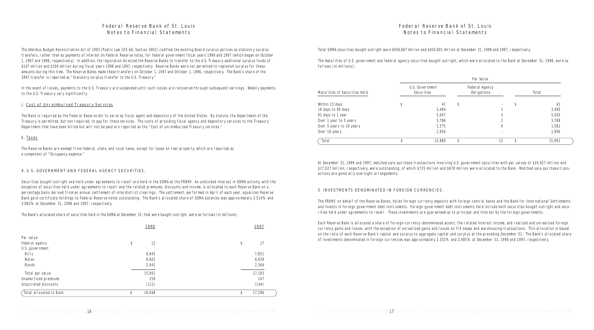Total SOMA securities bought outright were \$456,667 million and \$434,001 million at December 31, 1998 and 1997, respectively.

The maturities of U.S. government and federal agency securities bought outright, which were allocated to the Bank at December 31, 1998, were as follows (in millions):

|                               |                               | Par Value                     |    |        |
|-------------------------------|-------------------------------|-------------------------------|----|--------|
| Maturities of Securities Held | U.S. Government<br>Securities | Federal Agency<br>Obligations |    | Total  |
| Within 15 days                | 41                            | \$                            | S  | 41     |
| 16 days to 90 days            | 3,484                         |                               |    | 3.485  |
| 91 days to 1 year             | 5,047                         | 3                             |    | 5,050  |
| Over 1 year to 5 years        | 3,786                         |                               |    | 3,788  |
| Over 5 years to 10 years      | 1,575                         | 6                             |    | 1,581  |
| Over 10 years                 | 1,956                         | $\overline{\phantom{a}}$      |    | 1,956  |
| Total                         | 15,889                        | \$<br>12                      | \$ | 15,901 |

At December 31, 1998 and 1997, matched sale-purchase transactions involving U.S. government securities with par values of \$20,927 million and \$17,027 million, respectively, were outstanding, of which \$735 million and \$678 million were allocated to the Bank. Matched sale-purchase transactions are generally overnight arrangements.

### 5. INVESTMENTS DENOMINATED IN FOREIGN CURRENCIES:

The FRBNY, on behalf of the Reserve Banks, holds foreign currency deposits with foreign central banks and the Bank for International Settlements and invests in foreign government debt instruments. Foreign government debt instruments held include both securities bought outright and securities held under agreements to resell. These investments are guaranteed as to principal and interest by the foreign governments.

In the event of losses, payments to the U.S. Treasury are suspended until such losses are recovered through subsequent earnings. Weekly payments to the U.S. Treasury vary significantly.

> Each Reserve Bank is allocated a share of foreign-currency-denominated assets, the related interest income, and realized and unrealized foreign currency gains and losses, with the exception of unrealized gains and losses on F/X swaps and warehousing transactions. This allocation is based on the ratio of each Reserve Bank's capital and surplus to aggregate capital and surplus at the preceding December 31. The Bank's allocated share of investments denominated in foreign currencies was approximately 2.333% and 2.485% at December 31, 1998 and 1997, respectively.

## Federal Reserve Bank of St. Louis Notes to Financial Statements

The Omnibus Budget Reconciliation Act of 1993 (Public Law 103-66, Section 3002) codified the existing Board surplus policies as statutory surplus transfers, rather than as payments of interest on Federal Reserve notes, for federal government fiscal years 1998 and 1997 (which began on October 1, 1997 and 1996, respectively). In addition, the legislation directed the Reserve Banks to transfer to the U.S. Treasury additional surplus funds of \$107 million and \$106 million during fiscal years 1998 and 1997, respectively. Reserve Banks were not permitted to replenish surplus for these amounts during this time. The Reserve Banks made these transfers on October 1, 1997 and October 1, 1996, respectively. The Bank's share of the 1997 transfer is reported as "Statutory surplus transfer to the U.S. Treasury."

### j. Cost of Unreimbursed Treasury Services

The Bank is required by the Federal Reserve Act to serve as fiscal agent and depository of the United States. By statute, the Department of the Treasury is permitted, but not required, to pay for these services. The costs of providing fiscal agency and depository services to the Treasury Department that have been billed but will not be paid are reported as the "Cost of unreimbursed Treasury services."

### k. Taxes

The Reserve Banks are exempt from federal, state, and local taxes, except for taxes on real property, which are reported as a component of "Occupancy expense."

#### 4. U.S. GOVERNMENT AND FEDERAL AGENCY SECURITIES:

Securities bought outright and held under agreements to resell are held in the SOMA at the FRBNY. An undivided interest in SOMA activity, with the exception of securities held under agreements to resell and the related premiums, discounts and income, is allocated to each Reserve Bank on a percentage basis derived from an annual settlement of interdistrict clearings. The settlement, performed in April of each year, equalizes Reserve Bank gold certificate holdings to Federal Reserve notes outstanding. The Bank's allocated share of SOMA balances was approximately 3.514% and 3.983% at December 31, 1998 and 1997, respectively.

The Bank's allocated share of securities held in the SOMA at December 31, that were bought outright, were as follows (in millions):

|                         | 1998         | 1997         |
|-------------------------|--------------|--------------|
| Par value               |              |              |
| Federal agency          | \$<br>12     | \$<br>27     |
| U.S. government         |              |              |
| Bills                   | 6,845        | 7,851        |
| Notes                   | 6,603        | 6,939        |
| <b>Bonds</b>            | 2,441        | 2,366        |
| Total par value         | 15,901       | 17,183       |
| Unamortized premiums    | 259          | 247          |
| Unaccreted discounts    | (112)        | (144)        |
| Total allocated to Bank | 16,048<br>\$ | 17,286<br>\$ |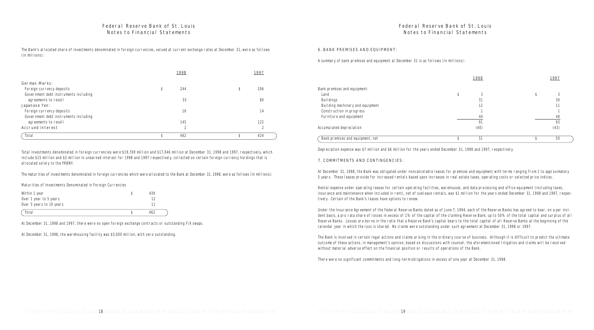#### 6. BANK PREMISES AND EQUIPMENT:

Bank premises and equipment: Building machinery and equipment Construction in progress Furniture and equipment

Accumulated depreciation

A summary of bank premises and equipment at December 31 is as follows (in millions):

|                                  | 1998 | 1997 |  |
|----------------------------------|------|------|--|
| ink premises and equipment:      |      |      |  |
| Land                             |      |      |  |
| <b>Buildings</b>                 | 31   | 30   |  |
| Building machinery and equipment | 12   | 11   |  |
| Construction in progress         |      |      |  |
| Furniture and equipment          | 44   | 48   |  |
|                                  |      | 93   |  |
| cumulated depreciation           | (40) | (43) |  |
| Bank premises and equipment, net | 51   | 50   |  |

Depreciation expense was \$7 million and \$6 million for the years ended December 31, 1998 and 1997, respectively.

#### 7. COMMITMENTS AND CONTINGENCIES:

At December 31, 1998, the Bank was obligated under noncancelable leases for premises and equipment with terms ranging from 1 to approximately 5 years. These leases provide for increased rentals based upon increases in real estate taxes, operating costs or selected price indices.

Rental expense under operating leases for certain operating facilities, warehouses, and data processing and office equipment (including taxes, insurance and maintenance when included in rent), net of sublease rentals, was \$1 million for the years ended December 31, 1998 and 1997, respectively. Certain of the Bank's leases have options to renew.

Under the Insurance Agreement of the Federal Reserve Banks dated as of June 7, 1994, each of the Reserve Banks has agreed to bear, on a per incident basis, a pro rata share of losses in excess of 1% of the capital of the claiming Reserve Bank, up to 50% of the total capital and surplus of all Reserve Banks. Losses are borne in the ratio that a Reserve Bank's capital bears to the total capital of all Reserve Banks at the beginning of the calendar year in which the loss is shared. No claims were outstanding under such agreement at December 31, 1998 or 1997.

The Bank is involved in certain legal actions and claims arising in the ordinary course of business. Although it is difficult to predict the ultimate outcome of these actions, in management's opinion, based on discussions with counsel, the aforementioned litigation and claims will be resolved without material adverse effect on the financial position or results of operations of the Bank.

There were no significant commitments and long-term obligations in excess of one year at December 31, 1998.

## Federal Reserve Bank of St. Louis Notes to Financial Statements

The Bank's allocated share of investments denominated in foreign currencies, valued at current exchange rates at December 31, were as follows (in millions):

|                                       | 1998      | 1997      |  |
|---------------------------------------|-----------|-----------|--|
| German Marks:                         |           |           |  |
| Foreign currency deposits             | 244       | \$<br>206 |  |
| Government debt instruments including |           |           |  |
| agreements to resell                  | 55        | 80        |  |
| Japanese Yen:                         |           |           |  |
| Foreign currency deposits             | 16        | 14        |  |
| Government debt instruments including |           |           |  |
| agreements to resell                  | 145       | 122       |  |
| Accrued interest                      | $\bigcap$ | $\Omega$  |  |
| Total                                 | 462       | 424       |  |

Total investments denominated in foreign currencies were \$19,769 million and \$17,046 million at December 31, 1998 and 1997, respectively, which include \$15 million and \$3 million in unearned interest for 1998 and 1997 respectively, collected on certain foreign currency holdings that is allocated solely to the FRBNY.

The maturities of investments denominated in foreign currencies which were allocated to the Bank at December 31, 1998, were as follows (in millions):

Maturities of Investments Denominated in Foreign Currencies

| Within 1 year            | 439 |
|--------------------------|-----|
| Over 1 year to 5 years   |     |
| Over 5 years to 10 years |     |
| Total                    | 462 |

At December 31, 1998 and 1997, there were no open foreign exchange contracts or outstanding F/X swaps.

At December 31, 1998, the warehousing facility was \$5,000 million, with zero outstanding.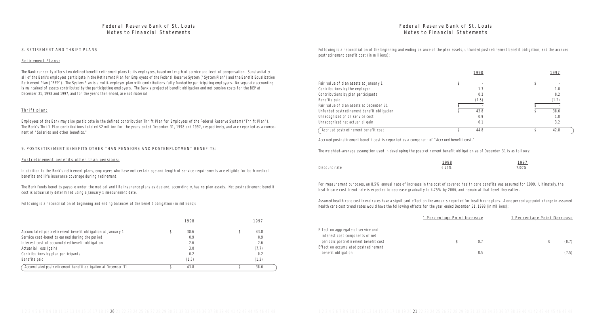Following is a reconciliation of the beginning and ending balance of the plan assets, unfunded postretirement benefit obligation, and the accrued postretirement benefit cost (in millions):

|                                            | 1998  | 1997  |  |
|--------------------------------------------|-------|-------|--|
| Fair value of plan assets at January 1     |       |       |  |
| Contributions by the employer              | 1.3   | 1.0   |  |
| Contributions by plan participants         | 0.2   | 0.2   |  |
| Benefits paid                              | (1.5) | (1.2) |  |
| Fair value of plan assets at December 31   |       |       |  |
| Unfunded postretirement benefit obligation | 43.8  | 38.6  |  |
| Unrecognized prior service cost            | 0.9   | 1.0   |  |
| Unrecognized net actuarial gain            | 0.1   | 3.2   |  |
| Accrued postretirement benefit cost        | 44.8  | 42.8  |  |

Accrued postretirement benefit cost is reported as a component of "Accrued benefit cost."

The weighted-average assumption used in developing the postretirement benefit obligation as of December 31 is as follows:

#### Discount rate

| 1998  | 1997  |
|-------|-------|
| 6.25% | 7.00% |

For measurement purposes, an 8.5% annual rate of increase in the cost of covered health care benefits was assumed for 1999. Ultimately, the health care cost trend rate is expected to decrease gradually to 4.75% by 2006, and remain at that level thereafter.

Assumed health care cost trend rates have a significant effect on the amounts reported for health care plans. A one percentage point change in assumed health care cost trend rates would have the following effects for the year ended December 31, 1998 (in millions):

|                                      | 1 Percentage Point Increase |     | 1 Percentage Point Decrease |       |
|--------------------------------------|-----------------------------|-----|-----------------------------|-------|
| ffect on aggregate of service and    |                             |     |                             |       |
| interest cost components of net      |                             |     |                             |       |
| periodic postretirement benefit cost |                             | 0.7 |                             | (0.7) |
| ffect on accumulated postretirement  |                             |     |                             |       |
| benefit obligation                   |                             | 8.5 |                             | (7.5) |

Effect on aggregate of service and interest cost components of net periodic postretirement benefit cost Effect on accumulated postretirement

## Federal Reserve Bank of St. Louis Notes to Financial Statements

#### 8. RETIREMENT AND THRIFT PLANS:

#### Retirement Plans:

The Bank currently offers two defined benefit retirement plans to its employees, based on length of service and level of compensation. Substantially all of the Bank's employees participate in the Retirement Plan for Employees of the Federal Reserve System ("System Plan") and the Benefit Equalization Retirement Plan ("BEP"). The System Plan is a multi-employer plan with contributions fully funded by participating employers. No separate accounting is maintained of assets contributed by the participating employers. The Bank's projected benefit obligation and net pension costs for the BEP at December 31, 1998 and 1997, and for the years then ended, are not material.

#### Thrift plan:

Employees of the Bank may also participate in the defined contribution Thrift Plan for Employees of the Federal Reserve System ("Thrift Plan"). The Bank's Thrift Plan contributions totaled \$2 million for the years ended December 31, 1998 and 1997, respectively, and are reported as a component of "Salaries and other benefits."

#### 9. POSTRETIREMENT BENEFITS OTHER THAN PENSIONS AND POSTEMPLOYMENT BENEFITS:

#### Postretirement benefits other than pensions:

In addition to the Bank's retirement plans, employees who have met certain age and length of service requirements are eligible for both medical benefits and life insurance coverage during retirement.

The Bank funds benefits payable under the medical and life insurance plans as due and, accordingly, has no plan assets. Net postretirement benefit cost is actuarially determined using a January 1 measurement date.

Following is a reconciliation of beginning and ending balances of the benefit obligation (in millions):

|                                                              | 1998  | 1997  |  |
|--------------------------------------------------------------|-------|-------|--|
| Accumulated postretirement benefit obligation at January 1   | 38.6  | 43.8  |  |
| Service cost-benefits earned during the period               | 0.9   | 0.9   |  |
| Interest cost of accumulated benefit obligation              | 2.6   | 2.6   |  |
| Actuarial loss (gain)                                        | 3.0   | (7.7) |  |
| Contributions by plan participants                           | 0.2   | 0.2   |  |
| Benefits paid                                                | (1.5) | (1.2) |  |
| Accumulated postretirement benefit obligation at December 31 | 43.8  | 38.6  |  |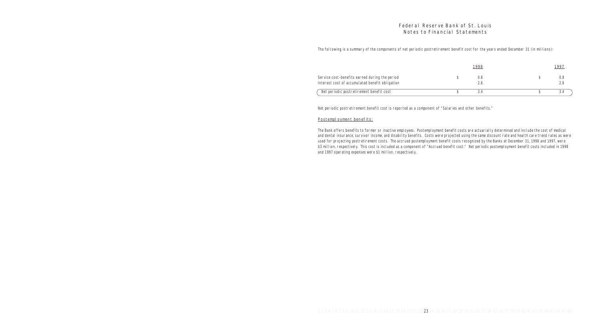The following is a summary of the components of net periodic postretirement benefit cost for the years ended December 31 (in millions):

Service cost-benefits earned during the period Interest cost of accumulated benefit obligation

Net periodic postretirement benefit cost

| 1998                 | 1997             |
|----------------------|------------------|
| \$<br>$0.8\,$<br>2.6 | \$<br>0.8<br>2.6 |
| 3.4                  | 3.4              |

Net periodic postretirement benefit cost is reported as a component of "Salaries and other benefits."

### Postemployment benefits:

The Bank offers benefits to former or inactive employees. Postemployment benefit costs are actuarially determined and include the cost of medical and dental insurance, survivor income, and disability benefits. Costs were projected using the same discount rate and health care trend rates as were used for projecting postretirement costs. The accrued postemployment benefit costs recognized by the Banks at December 31, 1998 and 1997, were \$3 million, respectively. This cost is included as a component of "Accrued benefit cost." Net periodic postemployment benefit costs included in 1998 and 1997 operating expenses were \$1 million, respectively.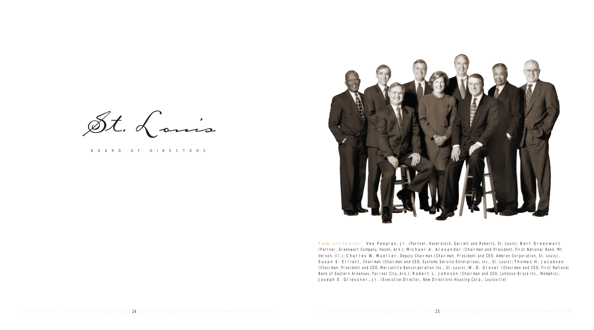St. Louis

BOARD OF DIRECTORS



FROM LEFT TO RIGHT: Veo Peoples, Jr. (Partner, Haverstock, Garrett and Roberts, St. Louis); Bert Greenwalt (Partner, Greenwalt Company, Hazen, Ark.); Michael A. Alexander (Chairman and President, First National Bank, Mt. Vernon, III.); Charles W. Mueller, Deputy Chairman (Chairman, President and CEO, Ameren Corporation, St. Louis); Susan S. Elliott, Chairman (Chairman and CEO, Systems Service Enterprises, Inc., St. Louis); Thomas H. Jacobsen (Chairman, President and CEO, Mercantile Bancorporation Inc., St. Louis); W. D. Glover (Chairman and CEO, First National Bank of Eastern Arkansas, Forrest City, Ark.); Robert L. Johnson (Chairman and CEO, Johnson Bryce Inc., Memphis); Joseph E. Gliessner, Jr. (Executive Director, New Directions Housing Corp., Louisville)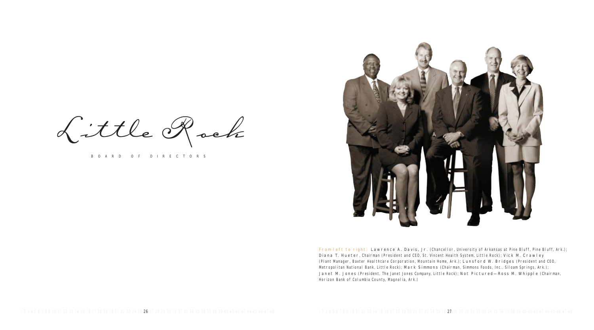From left to right: Lawrence A. Davis, Jr. (Chancellor, University of Arkansas at Pine Bluff, Pine Bluff, Ark.); Diana T. Hueter, Chairman (President and CEO, St. Vincent Health System, Little Rock); Vick M. Crawley (Plant Manager, Baxter Healthcare Corporation, Mountain Home, Ark.); Lunsford W. Bridges (President and CEO, Metropolitan National Bank, Little Rock); Mark Simmons (Chairman, Simmons Foods, Inc., Siloam Springs, Ark.); Janet M. Jones (President, The Janet Jones Company, Little Rock); Not Pictured—Ross M. Whipple (Chairman,



Horizon Bank of Columbia County, Magnolia, Ark.)

Little Rock

BOARD OF DIRECTORS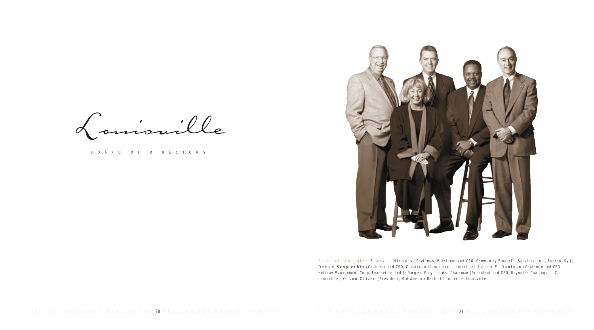Louisville

BOARD OF DIRECTORS



From left to right: Frank J. Nichols (Chairman, President and CEO, Community Financial Services, Inc., Benton, Ky.); Debbie Scoppechio (Chairman and CEO, Creative Alliance, Inc., Louisville); Larry E. Dunigan (Chairman and CEO, Holiday Management Corp, Evansville, Ind.); Roger Reynolds, Chairman (President and CEO, Reynolds Coatings, LLC, Louisville); Orson Oliver (President, Mid-America Bank of Louisville, Louisville)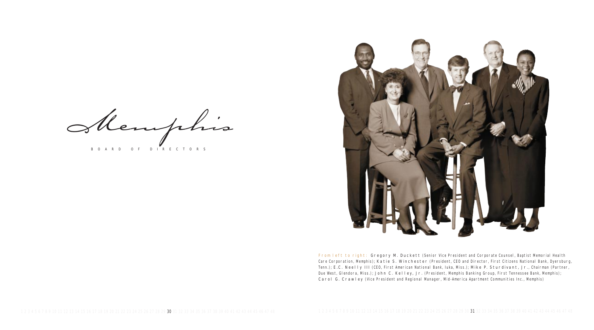Memphis BOARD OF DIRECTORS



From left to right: Gregory M. Duckett (Senior Vice President and Corporate Counsel, Baptist Memorial Health Care Corporation, Memphis); Katie S. Winchester (President, CEO and Director, First Citizens National Bank, Dyersburg, Tenn.); E.C. Neelly III (CEO, First American National Bank, Iuka, Miss.); Mike P. Sturdivant, Jr., Chairman (Partner, Due West, Glendora, Miss.); John C. Kelley, Jr. (President, Memphis Banking Group, First Tennessee Bank, Memphis); Carol G. Crawley (Vice President and Regional Manager, Mid-America Apartment Communities Inc., Memphis)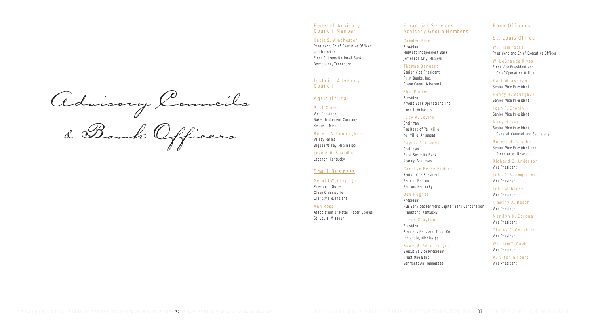Advisory Councils

& Bank Officers

#### Federal Advisory Council Member

#### Katie S. Winchester

President, Chief Executive Officer and Director First Citizens National Bank Dyersburg, Tennessee

District Advisory Council

#### **Agricultural**

Paul Combs Vice President Baker Implement Company Kennett, Missouri

Robert A. Cunningham Valley Farms Bigbee Valley, Mississippi

Joseph H. Spalding Lebanon, Kentucky

#### Small Business

#### Gerald W. Clapp, Jr.

President/Owner Clapp Oldsmobile Clarksville, Indiana

Ann Ross Association of Retail Paper Stores St. Louis, Missouri

## Financial Services Advisory Group Members

#### Camden Fine

President

Midwest Independent Bank Jefferson City, Missouri

## Thomas Bangert

Senior Vice President First Banks, Inc. Creve Coeur, Missouri

### Phil Porter

President Arvest Bank Operations, Inc. Lowell, Arkansas

## Judy R. Loving

Chairman The Bank of Yellville Yellville, Arkansas

### Reynie Rutledge

Chairman First Security Bank Searcy, Arkansas

## Carolyn Betsy Hudson

Senior Vice President Bank of Benton Benton, Kentucky

### Don Hughes

President FCB Services Farmers Capital Bank Corporation Frankfort, Kentucky

## James Clayton

President Planters Bank and Trust Co. Indianola, Mississippi

## Rowe M. Belcher, Jr.

Executive Vice President Trust One Bank Germantown, Tennessee

## Bank Officers

## St. Louis Office

William Poole President and Chief Executive Officer

W. LeGrande Rives First Vice President and Chief Operating Officer

Karl W. Ashman Senior Vice President

Henry H. Bourgaux Senior Vice President

Joan P. Cronin Senior Vice President

Mary H. Karr Senior Vice President, General Counsel and Secretary

Robert H. Rasche Senior Vice President and Director of Research

Richard G. Anderson Vice President

John P. Baumgartner Vice President

John W. Block Vice President

Timothy A. Bosch Vice President

Marilyn K. Corona Vice President

Cletus C. Coughlin Vice President

William T. Gavin Vice President

R. Alton Gilbert Vice President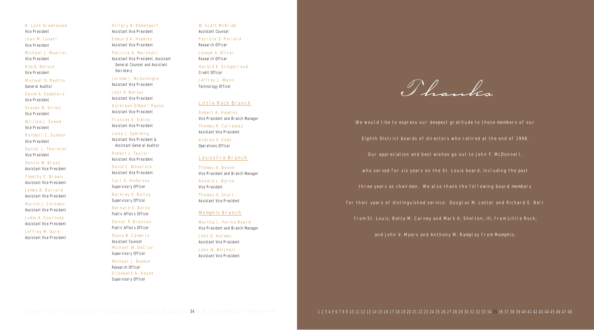N. Lynn Greenwood Vice President

Jean M. Lovati Vice President

Michael J. Mueller Vice President

Kim D. Nelson Vice President

Michael D. Renfro General Auditor

David A. Sapenaro Vice President

Steven N. Silvey Vice President

William J. Sneed Vice President

Randall C. Sumner Vice President

Daniel L. Thornton Vice President

Dennis W. Blase Assistant Vice President

Timothy C. Brown Assistant Vice President Jerome J. McGunnigle Assistant Vice President

James B. Bullard Assistant Vice President

Martin J. Coleman Assistant Vice President

Judie A. Courtney Assistant Vice President

Jeffrey M. Dale Assistant Vice President Hillary B. Debenport Assistant Vice President

Edward A. Hopkins Assistant Vice President

Patricia A. Marshall Assistant Vice President, Assistant General Counsel and Assistant Secretary

W. Scott McBride Assistant Counsel

John P. Merker Assistant Vice President

Kathleen O'Neill Paese Assistant Vice President

Frances E. Sibley Assistant Vice President

Leisa J. Spalding

Assistant Vice President & Assistant General Auditor

Robert J. Taylor Assistant Vice President

David C. Wheelock Assistant Vice President

Carl K. Anderson Supervisory Officer

Barkley E. Bailey Supervisory Officer

Bernard E. Berns Public Affairs Officer

Daniel P. Brennan Public Affairs Officer

Diane B. Camerlo Assistant Counsel Michael W. DeClue Supervisory Officer

Michael J. Dueker Research Officer Elizabeth A. Hayes Supervisory Officer

Patricia S. Pollard Research Officer

Joseph A. Ritter Research Officer

Harold E. Slingerland Credit Officer

Jeffrey L. Wann Technology Officer

### Little Rock Branch

Robert A. Hopkins Vice President and Branch Manager

Thomas R. Callaway Assistant Vice President

Andrea S. Eddy Operations Officer

### Louisville Branch

Thomas A. Boone Vice President and Branch Manager

Ronald L. Byrne Vice President

Thomas O. Short Assistant Vice President

### Memphis Branch

Martha L. Perine Beard Vice President and Branch Manager

John G. Holmes Assistant Vice President

John W. Mitchell Assistant Vice President

Thanks

Eighth District boards of directors who retired at the end of 1998. Our appreciation and best wishes go out to John F. McDonnell, who served for six years on the St. Louis board, including the past three years as chairman. We also thank the following board members

We would like to express our deepest gratitude to those members of our for their years of distinguished service: Douglas M. Lester and Richard E. Bell from St. Louis; Betta M. Carney and Mark A. Shelton, III, from Little Rock;

and John V. Myers and Anthony M. Rampley from Memphis.

1 2 3 4 5 6 7 8 9 10 11 12 13 14 15 16 17 18 19 20 21 22 23 24 25 26 27 28 29 30 31 32 33 34 35 36 37 38 39 40 41 42 43 44 45 46 47 48